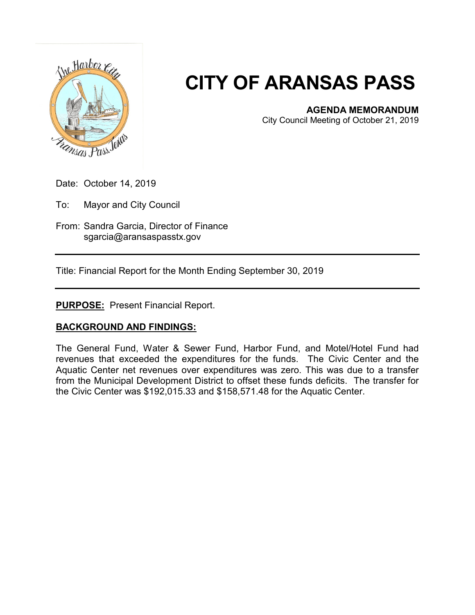

## **CITY OF ARANSAS PASS**

## **AGENDA MEMORANDUM**

City Council Meeting of October 21, 2019

Date: October 14, 2019

To: Mayor and City Council

From: Sandra Garcia, Director of Finance sgarcia@aransaspasstx.gov

Title: Financial Report for the Month Ending September 30, 2019

**PURPOSE:** Present Financial Report.

## **BACKGROUND AND FINDINGS:**

The General Fund, Water & Sewer Fund, Harbor Fund, and Motel/Hotel Fund had revenues that exceeded the expenditures for the funds. The Civic Center and the Aquatic Center net revenues over expenditures was zero. This was due to a transfer from the Municipal Development District to offset these funds deficits. The transfer for the Civic Center was \$192,015.33 and \$158,571.48 for the Aquatic Center.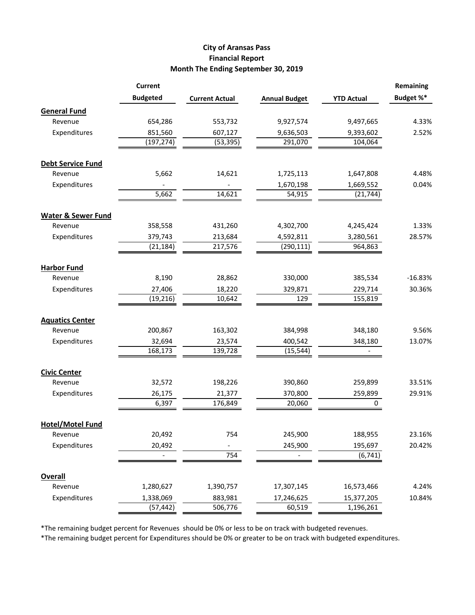## **City of Aransas Pass Financial Report Month The Ending September 30, 2019**

|                               | <b>Current</b>  |                       |                      |                   | Remaining |
|-------------------------------|-----------------|-----------------------|----------------------|-------------------|-----------|
|                               | <b>Budgeted</b> | <b>Current Actual</b> | <b>Annual Budget</b> | <b>YTD Actual</b> | Budget %* |
| <b>General Fund</b>           |                 |                       |                      |                   |           |
| Revenue                       | 654,286         | 553,732               | 9,927,574            | 9,497,665         | 4.33%     |
| Expenditures                  | 851,560         | 607,127               | 9,636,503            | 9,393,602         | 2.52%     |
|                               | (197, 274)      | (53, 395)             | 291,070              | 104,064           |           |
| <b>Debt Service Fund</b>      |                 |                       |                      |                   |           |
| Revenue                       | 5,662           | 14,621                | 1,725,113            | 1,647,808         | 4.48%     |
| Expenditures                  |                 |                       | 1,670,198            | 1,669,552         | 0.04%     |
|                               | 5,662           | 14,621                | 54,915               | (21, 744)         |           |
| <b>Water &amp; Sewer Fund</b> |                 |                       |                      |                   |           |
| Revenue                       | 358,558         | 431,260               | 4,302,700            | 4,245,424         | 1.33%     |
| Expenditures                  | 379,743         | 213,684               | 4,592,811            | 3,280,561         | 28.57%    |
|                               | (21, 184)       | 217,576               | (290, 111)           | 964,863           |           |
| <b>Harbor Fund</b>            |                 |                       |                      |                   |           |
| Revenue                       | 8,190           | 28,862                | 330,000              | 385,534           | $-16.83%$ |
| Expenditures                  | 27,406          | 18,220                | 329,871              | 229,714           | 30.36%    |
|                               | (19, 216)       | 10,642                | 129                  | 155,819           |           |
| <b>Aquatics Center</b>        |                 |                       |                      |                   |           |
| Revenue                       | 200,867         | 163,302               | 384,998              | 348,180           | 9.56%     |
| Expenditures                  | 32,694          | 23,574                | 400,542              | 348,180           | 13.07%    |
|                               | 168,173         | 139,728               | (15, 544)            |                   |           |
| <b>Civic Center</b>           |                 |                       |                      |                   |           |
| Revenue                       | 32,572          | 198,226               | 390,860              | 259,899           | 33.51%    |
| Expenditures                  | 26,175          | 21,377                | 370,800              | 259,899           | 29.91%    |
|                               | 6,397           | 176,849               | 20,060               | 0                 |           |
| <b>Hotel/Motel Fund</b>       |                 |                       |                      |                   |           |
| Revenue                       | 20,492          | 754                   | 245,900              | 188,955           | 23.16%    |
| Expenditures                  | 20,492          |                       | 245,900              | 195,697           | 20.42%    |
|                               |                 | 754                   |                      | (6, 741)          |           |
| <b>Overall</b>                |                 |                       |                      |                   |           |
| Revenue                       | 1,280,627       | 1,390,757             | 17,307,145           | 16,573,466        | 4.24%     |
| Expenditures                  | 1,338,069       | 883,981               | 17,246,625           | 15,377,205        | 10.84%    |
|                               | (57, 442)       | 506,776               | 60,519               | 1,196,261         |           |

\*The remaining budget percent for Revenues should be 0% or less to be on track with budgeted revenues.

\*The remaining budget percent for Expenditures should be 0% or greater to be on track with budgeted expenditures.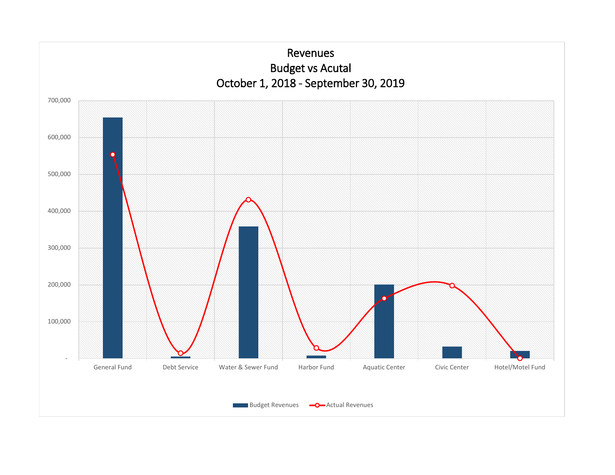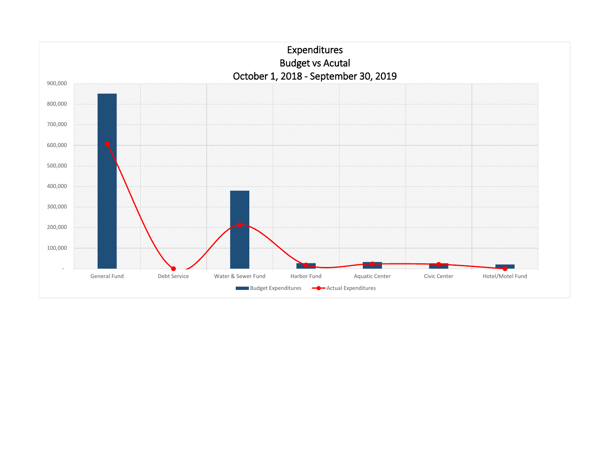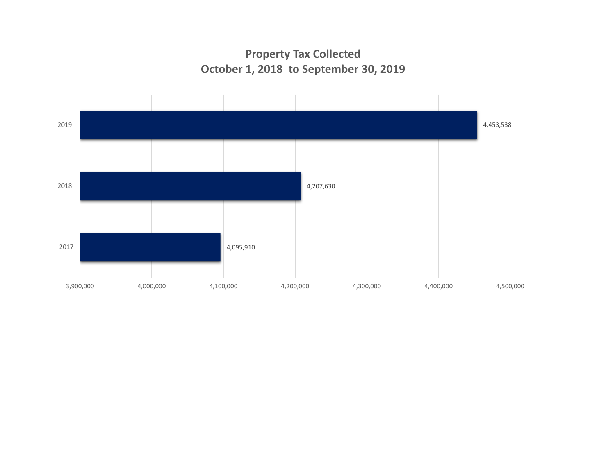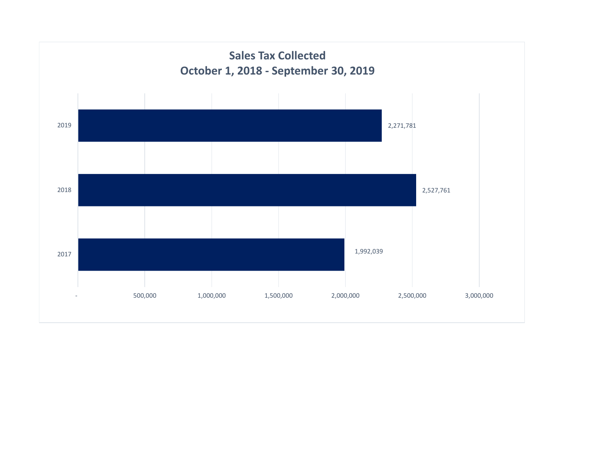